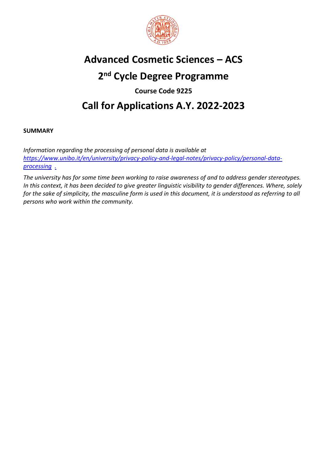

# **Advanced Cosmetic Sciences – ACS**

# **2 nd Cycle Degree Programme**

**Course Code 9225** 

# **Call for Applications A.Y. 2022-2023**

## **SUMMARY**

*Information regarding the processing of personal data is available at [https://www.unibo.it/en/university/privacy-policy-and-legal-notes/privacy-policy/personal-data](https://www.unibo.it/en/university/privacy-policy-and-legal-notes/privacy-policy/personal-data-processing)[processing](https://www.unibo.it/en/university/privacy-policy-and-legal-notes/privacy-policy/personal-data-processing) [.](http://www.unibo.it/PrivacyBandiCds)*

*The university has for some time been working to raise awareness of and to address gender stereotypes. In this context, it has been decided to give greater linguistic visibility to gender differences. Where, solely for the sake of simplicity, the masculine form is used in this document, it is understood as referring to all persons who work within the community.*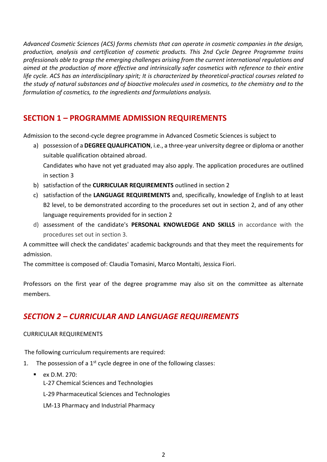*Advanced Cosmetic Sciences (ACS) forms chemists that can operate in cosmetic companies in the design, production, analysis and certification of cosmetic products. This 2nd Cycle Degree Programme trains professionals able to grasp the emerging challenges arising from the current international regulations and aimed at the production of more effective and intrinsically safer cosmetics with reference to their entire life cycle. ACS has an interdisciplinary spirit; It is characterized by theoretical-practical courses related to the study of natural substances and of bioactive molecules used in cosmetics, to the chemistry and to the formulation of cosmetics, to the ingredients and formulations analysis.*

# **SECTION 1 – PROGRAMME ADMISSION REQUIREMENTS**

Admission to the second-cycle degree programme in Advanced Cosmetic Sciences is subject to

- a) possession of a **DEGREE QUALIFICATION**, i.e., a three-year university degree or diploma or another suitable qualification obtained abroad. Candidates who have not yet graduated may also apply. The application procedures are outlined in section 3
- b) satisfaction of the **CURRICULAR REQUIREMENTS** outlined in section 2
- c) satisfaction of the **LANGUAGE REQUIREMENTS** and, specifically, knowledge of English to at least B2 level, to be demonstrated according to the procedures set out in section 2, and of any other language requirements provided for in section 2
- d) assessment of the candidate's **PERSONAL KNOWLEDGE AND SKILLS** in accordance with the procedures set out in section 3.

A committee will check the candidates' academic backgrounds and that they meet the requirements for admission.

The committee is composed of: Claudia Tomasini, Marco Montalti, Jessica Fiori.

Professors on the first year of the degree programme may also sit on the committee as alternate members.

# *SECTION 2 – CURRICULAR AND LANGUAGE REQUIREMENTS*

#### CURRICULAR REQUIREMENTS

The following curriculum requirements are required:

- 1. The possession of a  $1<sup>st</sup>$  cycle degree in one of the following classes:
	- **ex D.M. 270:** L-27 Chemical Sciences and Technologies L-29 Pharmaceutical Sciences and Technologies LM-13 Pharmacy and Industrial Pharmacy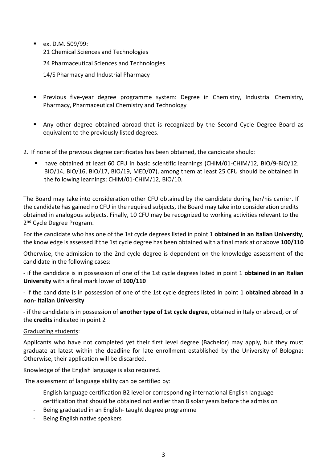**ex. D.M. 509/99:** 21 Chemical Sciences and Technologies

24 Pharmaceutical Sciences and Technologies

14/S Pharmacy and Industrial Pharmacy

- Previous five-year degree programme system: Degree in Chemistry, Industrial Chemistry, Pharmacy, Pharmaceutical Chemistry and Technology
- Any other degree obtained abroad that is recognized by the Second Cycle Degree Board as equivalent to the previously listed degrees.

2. If none of the previous degree certificates has been obtained, the candidate should:

 have obtained at least 60 CFU in basic scientific learnings (CHIM/01-CHIM/12, BIO/9-BIO/12, BIO/14, BIO/16, BIO/17, BIO/19, MED/07), among them at least 25 CFU should be obtained in the following learnings: CHIM/01-CHIM/12, BIO/10.

The Board may take into consideration other CFU obtained by the candidate during her/his carrier. If the candidate has gained no CFU in the required subjects, the Board may take into consideration credits obtained in analogous subjects. Finally, 10 CFU may be recognized to working activities relevant to the 2<sup>nd</sup> Cycle Degree Program.

For the candidate who has one of the 1st cycle degrees listed in point 1 **obtained in an Italian University**, the knowledge is assessed if the 1st cycle degree has been obtained with a final mark at or above **100/110** 

Otherwise, the admission to the 2nd cycle degree is dependent on the knowledge assessment of the candidate in the following cases:

- if the candidate is in possession of one of the 1st cycle degrees listed in point 1 **obtained in an Italian University** with a final mark lower of **100/110**

- if the candidate is in possession of one of the 1st cycle degrees listed in point 1 **obtained abroad in a non- Italian University**

- if the candidate is in possession of **another type of 1st cycle degree**, obtained in Italy or abroad, or of the **credits** indicated in point 2

#### Graduating students:

Applicants who have not completed yet their first level degree (Bachelor) may apply, but they must graduate at latest within the deadline for late enrollment established by the University of Bologna: Otherwise, their application will be discarded.

Knowledge of the English language is also required.

The assessment of language ability can be certified by:

- English language certification B2 level or corresponding international English language certification that should be obtained not earlier than 8 solar years before the admission
- Being graduated in an English- taught degree programme
- Being English native speakers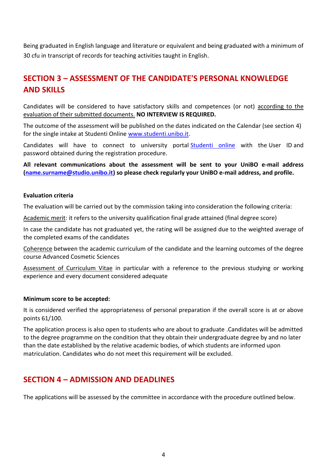Being graduated in English language and literature or equivalent and being graduated with a minimum of 30 cfu in transcript of records for teaching activities taught in English.

# **SECTION 3 – ASSESSMENT OF THE CANDIDATE'S PERSONAL KNOWLEDGE AND SKILLS**

Candidates will be considered to have satisfactory skills and competences (or not) according to the evaluation of their submitted documents. **NO INTERVIEW IS REQUIRED.**

The outcome of the assessment will be published on the dates indicated on the Calendar (see section 4) for the single intake at Studenti Online [www.studenti.unibo.it.](http://www.studenti.unibo.it/)

Candidates will have to connect to university portal [Studenti online](https://studenti.unibo.it/sol/welcome.htm?siteLanguage=en) with the User ID and password obtained during the registration procedure.

**All relevant communications about the assessment will be sent to your UniBO e-mail address [\(name.surname@studio.unibo.it\)](mailto:name.surname@studio.unibo.it) so please check regularly your UniBO e-mail address, and profile.**

#### **Evaluation criteria**

The evaluation will be carried out by the commission taking into consideration the following criteria:

Academic merit: it refers to the university qualification final grade attained (final degree score)

In case the candidate has not graduated yet, the rating will be assigned due to the weighted average of the completed exams of the candidates

Coherence between the academic curriculum of the candidate and the learning outcomes of the degree course Advanced Cosmetic Sciences

Assessment of Curriculum Vitae in particular with a reference to the previous studying or working experience and every document considered adequate

#### **Minimum score to be accepted:**

It is considered verified the appropriateness of personal preparation if the overall score is at or above points 61/100.

The application process is also open to students who are about to graduate .Candidates will be admitted to the degree programme on the condition that they obtain their undergraduate degree by and no later than the date established by the relative academic bodies, of which students are informed upon matriculation. Candidates who do not meet this requirement will be excluded.

## **SECTION 4 – ADMISSION AND DEADLINES**

The applications will be assessed by the committee in accordance with the procedure outlined below.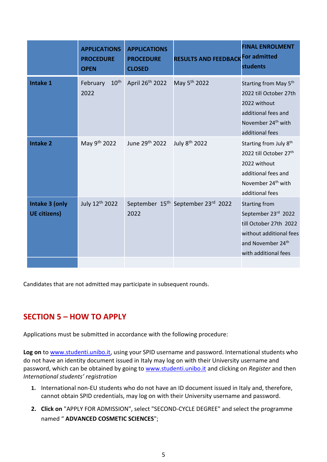|                                       | <b>APPLICATIONS</b><br><b>PROCEDURE</b><br><b>OPEN</b> | <b>APPLICATIONS</b><br><b>PROCEDURE</b><br><b>CLOSED</b> | <b>RESULTS AND FEEDBACK For admitted</b>       | <b>FINAL ENROLMENT</b><br><b>students</b>                                                                                                                            |
|---------------------------------------|--------------------------------------------------------|----------------------------------------------------------|------------------------------------------------|----------------------------------------------------------------------------------------------------------------------------------------------------------------------|
| <b>Intake 1</b>                       | 10 <sup>th</sup><br>February<br>2022                   | April 26th 2022                                          | May 5 <sup>th</sup> 2022                       | Starting from May 5 <sup>th</sup><br>2022 till October 27th<br>2022 without<br>additional fees and<br>November 24 <sup>th</sup> with<br>additional fees              |
| <b>Intake 2</b>                       | May 9th 2022                                           | June 29th 2022                                           | July 8 <sup>th</sup> 2022                      | Starting from July 8 <sup>th</sup><br>2022 till October 27 <sup>th</sup><br>2022 without<br>additional fees and<br>November 24 <sup>th</sup> with<br>additional fees |
| Intake 3 (only<br><b>UE citizens)</b> | July 12th 2022                                         | 2022                                                     | September 15 <sup>th</sup> September 23rd 2022 | <b>Starting from</b><br>September 23rd 2022<br>till October 27th 2022<br>without additional fees<br>and November 24 <sup>th</sup><br>with additional fees            |

Candidates that are not admitted may participate in subsequent rounds.

# **SECTION 5 – HOW TO APPLY**

Applications must be submitted in accordance with the following procedure:

Log on to [www.studenti.unibo.it,](http://www.studenti.unibo.it/) using your SPID username and password. International students who do not have an identity document issued in Italy may log on with their University username and password, which can be obtained by going to www.studenti.unibo.it and clicking on *Register* and then *International students' registration*

- **1.** International non-EU students who do not have an ID document issued in Italy and, therefore, cannot obtain SPID credentials, may log on with their University username and password.
- **2. Click on** "APPLY FOR ADMISSION", select "SECOND-CYCLE DEGREE" and select the programme named " **ADVANCED COSMETIC SCIENCES**";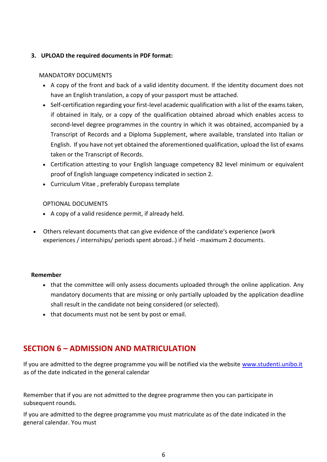## **3. UPLOAD the required documents in PDF format:**

### MANDATORY DOCUMENTS

- A copy of the front and back of a valid identity document. If the identity document does not have an English translation, a copy of your passport must be attached.
- Self-certification regarding your first-level academic qualification with a list of the exams taken, if obtained in Italy, or a copy of the qualification obtained abroad which enables access to second-level degree programmes in the country in which it was obtained, accompanied by a Transcript of Records and a Diploma Supplement, where available, translated into Italian or English. If you have not yet obtained the aforementioned qualification, upload the list of exams taken or the Transcript of Records.
- Certification attesting to your English language competency B2 level minimum or equivalent proof of English language competency indicated in section 2.
- Curriculum Vitae , preferably Europass template

#### OPTIONAL DOCUMENTS

- A copy of a valid residence permit, if already held.
- Others relevant documents that can give evidence of the candidate's experience (work experiences / internships/ periods spent abroad..) if held - maximum 2 documents.

#### **Remember**

- that the committee will only assess documents uploaded through the online application. Any mandatory documents that are missing or only partially uploaded by the application deadline shall result in the candidate not being considered (or selected).
- that documents must not be sent by post or email.

# **SECTION 6 – ADMISSION AND MATRICULATION**

If you are admitted to the degree programme you will be notified via the website [www.studenti.unibo.it](http://www.studenti.unibo.it/) as of the date indicated in the general calendar

Remember that if you are not admitted to the degree programme then you can participate in subsequent rounds.

If you are admitted to the degree programme you must matriculate as of the date indicated in the general calendar. You must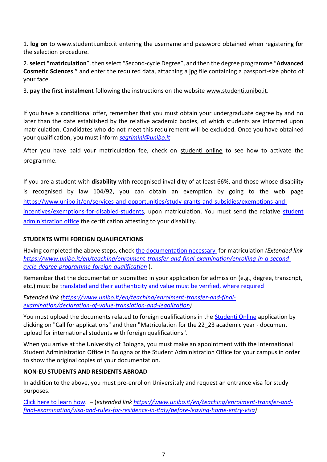1. **log on** to www.studenti.unibo.it entering the username and password obtained when registering for the selection procedure.

2. **select "matriculation**", then select "Second-cycle Degree", and then the degree programme "**Advanced Cosmetic Sciences "** and enter the required data, attaching a jpg file containing a passport-size photo of your face.

3. **pay the first instalment** following the instructions on the website [www.studenti.unibo.it.](http://www.studenti.unibo.it/)

If you have a conditional offer, remember that you must obtain your undergraduate degree by and no later than the date established by the relative academic bodies, of which students are informed upon matriculation. Candidates who do not meet this requirement will be excluded. Once you have obtained your qualification, you must inform *[segrimini@unibo.it](mailto:segrimini@unibo.it)*

After you have paid your matriculation fee, check on [studenti online](https://studenti.unibo.it/sol/welcome.htm?siteLanguage=en) to see how to activate the programme.

If you are a student with **disability** with recognised invalidity of at least 66%, and those whose disability is recognised by law 104/92, you can obtain an exemption by going to the web page [https://www.unibo.it/en/services-and-opportunities/study-grants-and-subsidies/exemptions-and](https://www.unibo.it/en/services-and-opportunities/study-grants-and-subsidies/exemptions-and-incentives/exemptions-for-disabled-students)[incentives/exemptions-for-disabled-students,](https://www.unibo.it/en/services-and-opportunities/study-grants-and-subsidies/exemptions-and-incentives/exemptions-for-disabled-students) upon matriculation. You must send the relative student [administration office](https://www.unibo.it/en/teaching/enrolment-transfer-and-final-examination/student-administration-office) the certification attesting to your disability.

## **STUDENTS WITH FOREIGN QUALIFICATIONS**

Having completed the above steps, check [the documentation necessary](https://www.unibo.it/en/teaching/enrolment-transfer-and-final-examination/enrolling-in-a-second-cycle-degree-programme-foreign-qualification) for matriculation *(Extended link [https://www.unibo.it/en/teaching/enrolment-transfer-and-final-examination/enrolling-in-a-second](https://www.unibo.it/en/teaching/enrolment-transfer-and-final-examination/enrolling-in-a-second-cycle-degree-programme-foreign-qualification)[cycle-degree-programme-foreign-qualification](https://www.unibo.it/en/teaching/enrolment-transfer-and-final-examination/enrolling-in-a-second-cycle-degree-programme-foreign-qualification)* ).

Remember that the documentation submitted in your application for admission (e.g., degree, transcript, etc.) must be [translated and their authenticity and value must be verified, where required](https://www.unibo.it/en/teaching/enrolment-transfer-and-final-examination/declaration-of-value-translation-and-legalization)

*Extended link [\(https://www.unibo.it/en/teaching/enrolment-transfer-and-final](https://www.unibo.it/en/teaching/enrolment-transfer-and-final-examination/declaration-of-value-translation-and-legalization)[examination/declaration-of-value-translation-and-legalization\)](https://www.unibo.it/en/teaching/enrolment-transfer-and-final-examination/declaration-of-value-translation-and-legalization)*

You must upload the documents related to foreign qualifications in the [Studenti Online](https://studenti.unibo.it/sol/welcome.htm?siteLanguage=en) application by clicking on "Call for applications" and then "Matriculation for the 22\_23 academic year - document upload for international students with foreign qualifications".

When you arrive at the University of Bologna, you must make an appointment with the International Student Administration Office in Bologna or the Student Administration Office for your campus in order to show the original copies of your documentation.

## **NON-EU STUDENTS AND RESIDENTS ABROAD**

In addition to the above, you must pre-enrol on Universitaly and request an entrance visa for study purposes.

[Click here to learn](https://www.unibo.it/en/teaching/enrolment-transfer-and-final-examination/visa-and-rules-for-residence-in-italy/before-leaving-home-entry-visa) how. – (*extended link [https://www.unibo.it/en/teaching/enrolment-transfer-and](https://www.unibo.it/en/teaching/enrolment-transfer-and-final-examination/visa-and-rules-for-residence-in-italy/before-leaving-home-entry-visa)[final-examination/visa-and-rules-for-residence-in-italy/before-leaving-home-entry-visa\)](https://www.unibo.it/en/teaching/enrolment-transfer-and-final-examination/visa-and-rules-for-residence-in-italy/before-leaving-home-entry-visa)*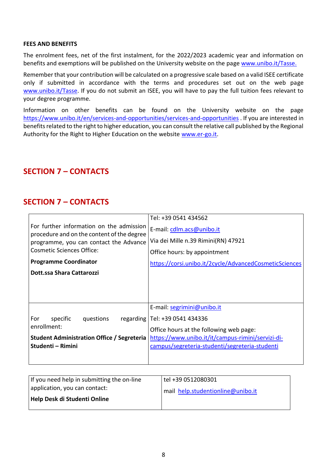#### **FEES AND BENEFITS**

The enrolment fees, net of the first instalment, for the 2022/2023 academic year and information on benefits and exemptions will be published on the University website on the page [www.unibo.it/Tasse.](http://www.unibo.it/Tasse)

Remember that your contribution will be calculated on a progressive scale based on a valid ISEE certificate only if submitted in accordance with the terms and procedures set out on the web page [www.unibo.it/Tasse.](http://www.unibo.it/Tasse) If you do not submit an ISEE, you will have to pay the full tuition fees relevant to your degree programme.

Information on other benefits can be found on the University website on the page <https://www.unibo.it/en/services-and-opportunities/services-and-opportunities> . If you are interested in benefits related to the right to higher education, you can consult the relative call published by the Regional Authority for the Right to Higher Education on the website [www.er-go.it.](http://www.er-go.it/)

## **SECTION 7 – CONTACTS**

## **SECTION 7 – CONTACTS**

| For further information on the admission<br>procedure and on the content of the degree<br>programme, you can contact the Advance<br>Cosmetic Sciences Office: | Tel: +39 0541 434562<br>E-mail: cdlm.acs@unibo.it<br>Via dei Mille n.39 Rimini(RN) 47921<br>Office hours: by appointment                                                                                         |
|---------------------------------------------------------------------------------------------------------------------------------------------------------------|------------------------------------------------------------------------------------------------------------------------------------------------------------------------------------------------------------------|
| <b>Programme Coordinator</b><br>Dott.ssa Shara Cattarozzi                                                                                                     | https://corsi.unibo.it/2cycle/AdvancedCosmeticSciences                                                                                                                                                           |
| For<br>specific<br>questions<br>enrollment:<br><b>Student Administration Office / Segreteria</b><br>Studenti - Rimini                                         | E-mail: segrimini@unibo.it<br>regarding   Tel: +39 0541 434336<br>Office hours at the following web page:<br>https://www.unibo.it/it/campus-rimini/servizi-di-<br>campus/segreteria-studenti/segreteria-studenti |

| If you need help in submitting the on-line | tel +39 0512080301                |
|--------------------------------------------|-----------------------------------|
| application, you can contact:              | mail help.studentionline@unibo.it |
| Help Desk di Studenti Online               |                                   |
|                                            |                                   |